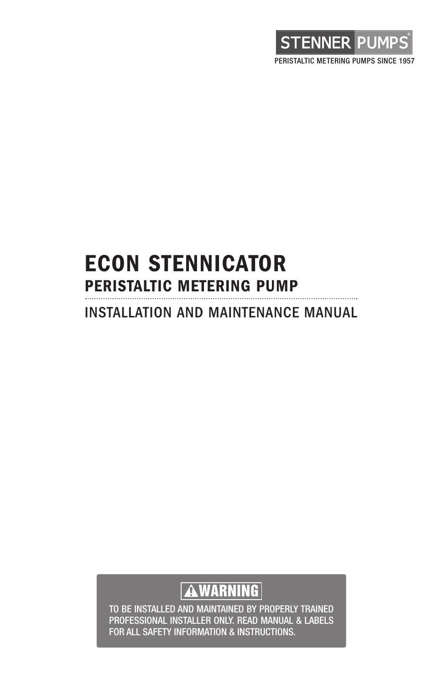

### **ECON STENNICATOR PERISTALTIC METERING PUMP** INSTALLATION AND MAINTENANCE MANUAL

### **WARNING**

TO BE INSTALLED AND MAINTAINED BY PROPERLY TRAINED PROFESSIONAL INSTALLER ONLY. READ MANUAL & LABELS FOR ALL SAFETY INFORMATION & INSTRUCTIONS.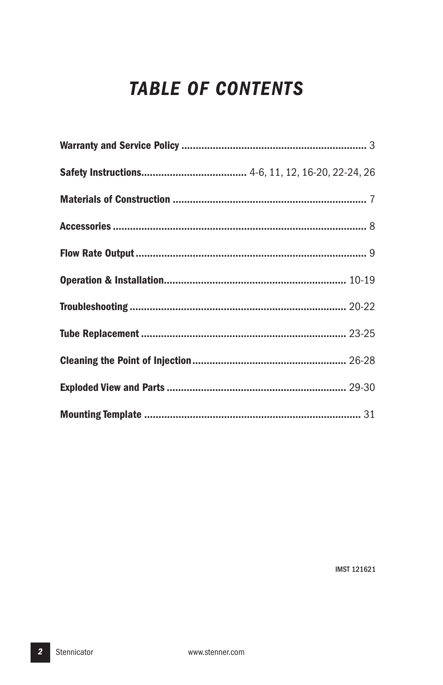### **TABLE OF CONTENTS**

**IMST 121621**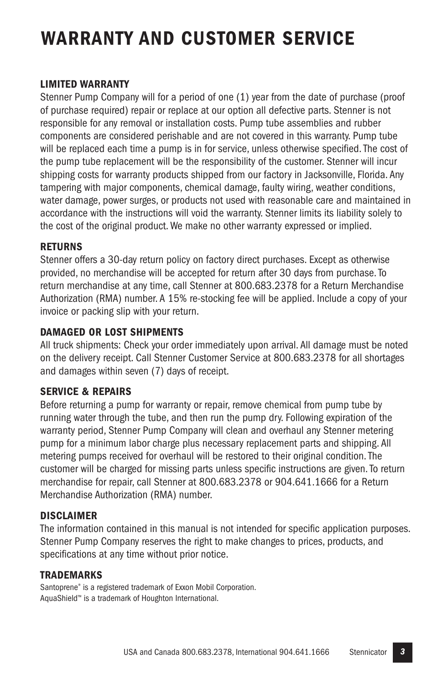### **WARRANTY AND CUSTOMER SERVICE**

#### **LIMITED WARRANTY**

Stenner Pump Company will for a period of one (1) year from the date of purchase (proof of purchase required) repair or replace at our option all defective parts. Stenner is not responsible for any removal or installation costs. Pump tube assemblies and rubber components are considered perishable and are not covered in this warranty. Pump tube will be replaced each time a pump is in for service, unless otherwise specified.The cost of the pump tube replacement will be the responsibility of the customer. Stenner will incur shipping costs for warranty products shipped from our factory in Jacksonville, Florida. Any tampering with major components, chemical damage, faulty wiring, weather conditions, water damage, power surges, or products not used with reasonable care and maintained in accordance with the instructions will void the warranty. Stenner limits its liability solely to the cost of the original product.We make no other warranty expressed or implied.

#### **RETURNS**

Stenner offers a 30-day return policy on factory direct purchases. Except as otherwise provided, no merchandise will be accepted for return after 30 days from purchase.To return merchandise at any time, call Stenner at 800.683.2378 for a Return Merchandise Authorization (RMA) number. A 15% re-stocking fee will be applied. Include a copy of your invoice or packing slip with your return.

#### **DAMAGED OR LOST SHIPMENTS**

All truck shipments: Check your order immediately upon arrival. All damage must be noted on the delivery receipt. Call Stenner Customer Service at 800.683.2378 for all shortages and damages within seven (7) days of receipt.

#### **SERVICE & REPAIRS**

Before returning a pump for warranty or repair, remove chemical from pump tube by running water through the tube, and then run the pump dry. Following expiration of the warranty period, Stenner Pump Company will clean and overhaul any Stenner metering pump for a minimum labor charge plus necessary replacement parts and shipping. All metering pumps received for overhaul will be restored to their original condition.The customer will be charged for missing parts unless specific instructions are given.To return merchandise for repair, call Stenner at 800.683.2378 or 904.641.1666 for a Return Merchandise Authorization (RMA) number.

#### **DISCLAIMER**

The information contained in this manual is not intended for specific application purposes. Stenner Pump Company reserves the right to make changes to prices, products, and specifications at any time without prior notice.

#### **TRADEMARKS**

Santoprene® is a registered trademark of Exxon Mobil Corporation. AquaShield™ is a trademark of Houghton International.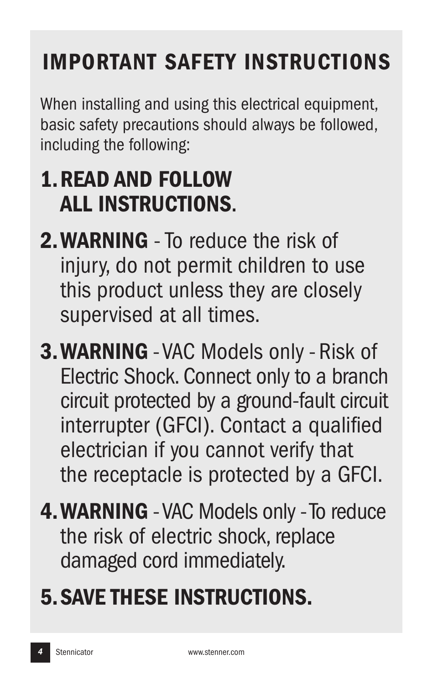# **IMPORTANT SAFETY INSTRUCTIONS**

When installing and using this electrical equipment, basic safety precautions should always be followed, including the following:

# **1.READ AND FOLLOW ALL INSTRUCTIONS**.

- **2.WARNING** To reduce the risk of injury, do not permit children to use this product unless they are closely supervised at all times.
- **3.WARNING** -VAC Models only Risk of Electric Shock. Connect only to a branch circuit protected by a ground-fault circuit interrupter (GFCI). Contact a qualified electrician if you cannot verify that the receptacle is protected by a GFCI.
- **4.WARNING** -VAC Models only-To reduce the risk of electric shock, replace damaged cord immediately.

# **5.SAVE THESE INSTRUCTIONS.**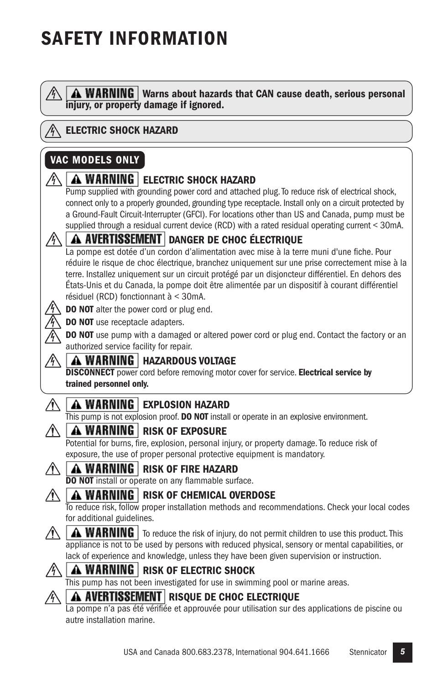## **SAFETY INFORMATION**

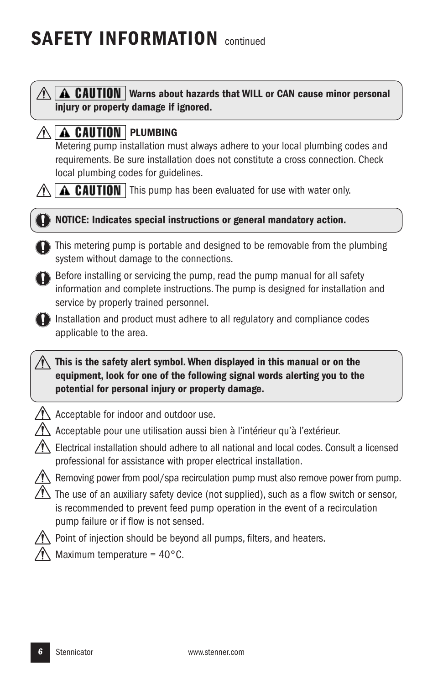## **SAFETY INFORMATION** continued

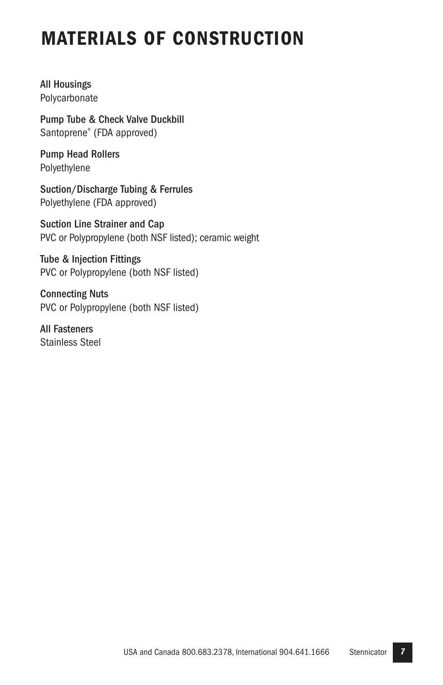### **MATERIALS OF CONSTRUCTION**

All Housings Polycarbonate

Pump Tube & Check Valve Duckbill Santoprene® (FDA approved)

Pump Head Rollers Polyethylene

Suction/Discharge Tubing & Ferrules Polyethylene (FDA approved)

Suction Line Strainer and Cap PVC or Polypropylene (both NSF listed); ceramic weight

Tube & Injection Fittings PVC or Polypropylene (both NSF listed)

Connecting Nuts PVC or Polypropylene (both NSF listed)

All Fasteners Stainless Steel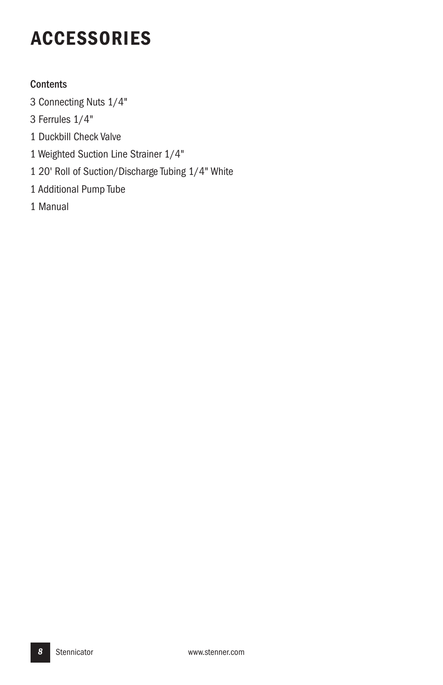## **ACCESSORIES**

#### **Contents**

- Connecting Nuts 1/4"
- Ferrules 1/4"
- Duckbill Check Valve
- Weighted Suction Line Strainer 1/4"
- 20' Roll of Suction/Discharge Tubing 1/4" White
- Additional Pump Tube
- Manual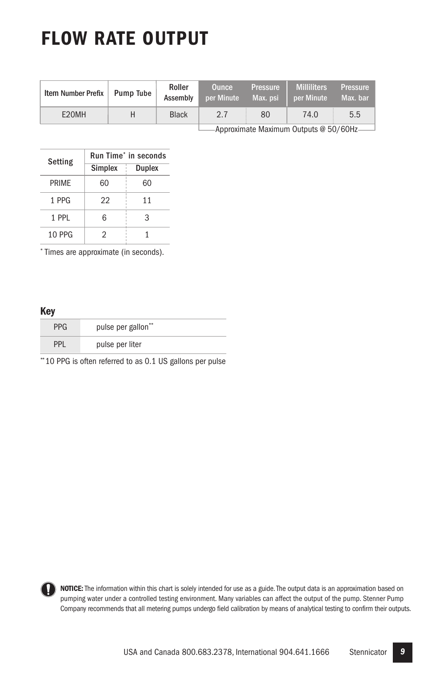## **FLOW RATE OUTPUT**

| Item Number Prefix | Pump Tube | Roller<br>Assembly | <b>Ounce</b><br>per Minute | <b>Pressure</b><br>Max. psi | <b>Milliliters</b><br>per Minute | <b>Pressure</b><br>Max. bar |
|--------------------|-----------|--------------------|----------------------------|-----------------------------|----------------------------------|-----------------------------|
| E20MH              |           | <b>Black</b>       | 2.7                        | 80                          | 74.0                             | 5.5                         |
|                    |           |                    |                            |                             |                                  |                             |

**Approximate Maximum Outputs @ 50/60Hz** 

| Setting | Run Time* in seconds |               |  |
|---------|----------------------|---------------|--|
|         | <b>Simplex</b>       | <b>Duplex</b> |  |
| PRIMF   | 60                   | 60            |  |
| 1 PPG   | 22                   | 11            |  |
| 1 PPI   | հ                    | 3             |  |
| 10 PPG  |                      |               |  |

\* Times are approximate (in seconds).

#### **Key**

| <b>PPG</b> | pulse per gallon** |
|------------|--------------------|
| PPL        | pulse per liter    |

\*\*10 PPG is often referred to as 0.1 US gallons per pulse



**NOTICE:** The information within this chart is solely intended for use as a guide. The output data is an approximation based on pumping water under a controlled testing environment. Many variables can affect the output of the pump. Stenner Pump Company recommends that all metering pumps undergo field calibration by means of analytical testing to confirm their outputs.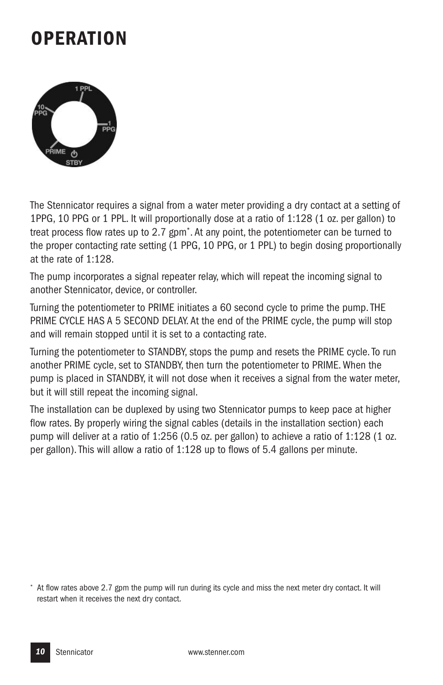### **OPERATION**



The Stennicator requires a signal from a water meter providing a dry contact at a setting of 1PPG, 10 PPG or 1 PPL. It will proportionally dose at a ratio of 1:128 (1 oz. per gallon) to treat process flow rates up to 2.7 gpm\* . At any point, the potentiometer can be turned to the proper contacting rate setting (1 PPG, 10 PPG, or 1 PPL) to begin dosing proportionally at the rate of 1:128.

The pump incorporates a signal repeater relay, which will repeat the incoming signal to another Stennicator, device, or controller.

Turning the potentiometer to PRIME initiates a 60 second cycle to prime the pump.THE PRIME CYCLE HAS A 5 SECOND DELAY. At the end of the PRIME cycle, the pump will stop and will remain stopped until it is set to a contacting rate.

Turning the potentiometer to STANDBY, stops the pump and resets the PRIME cycle.To run another PRIME cycle, set to STANDBY, then turn the potentiometer to PRIME.When the pump is placed in STANDBY, it will not dose when it receives a signal from the water meter, but it will still repeat the incoming signal.

The installation can be duplexed by using two Stennicator pumps to keep pace at higher flow rates. By properly wiring the signal cables (details in the installation section) each pump will deliver at a ratio of 1:256 (0.5 oz. per gallon) to achieve a ratio of 1:128 (1 oz. per gallon).This will allow a ratio of 1:128 up to flows of 5.4 gallons per minute.

<sup>\*</sup> At flow rates above 2.7 gpm the pump will run during its cycle and miss the next meter dry contact. It will restart when it receives the next dry contact.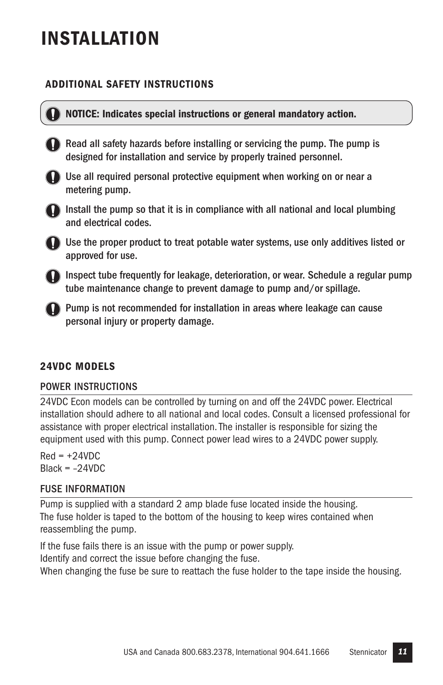### **INSTALLATION**

#### **ADDITIONAL SAFETY INSTRUCTIONS**



#### **NOTICE: Indicates special instructions or general mandatory action.**

Read all safety hazards before installing or servicing the pump. The pump is designed for installation and service by properly trained personnel.



**O** Use all required personal protective equipment when working on or near a metering pump.



Install the pump so that it is in compliance with all national and local plumbing and electrical codes.



Use the proper product to treat potable water systems, use only additives listed or approved for use.

Inspect tube frequently for leakage, deterioration, or wear. Schedule a regular pump tube maintenance change to prevent damage to pump and/or spillage.

**Pump is not recommended for installation in areas where leakage can cause** personal injury or property damage.

#### **24VDC MODELS**

#### POWER INSTRUCTIONS

24VDC Econ models can be controlled by turning on and off the 24VDC power. Electrical installation should adhere to all national and local codes. Consult a licensed professional for assistance with proper electrical installation.The installer is responsible for sizing the equipment used with this pump. Connect power lead wires to a 24VDC power supply.

 $Red = +24VDC$  $Black = -24VDC$ 

#### FUSE INFORMATION

Pump is supplied with a standard 2 amp blade fuse located inside the housing. The fuse holder is taped to the bottom of the housing to keep wires contained when reassembling the pump.

If the fuse fails there is an issue with the pump or power supply. Identify and correct the issue before changing the fuse.

When changing the fuse be sure to reattach the fuse holder to the tape inside the housing.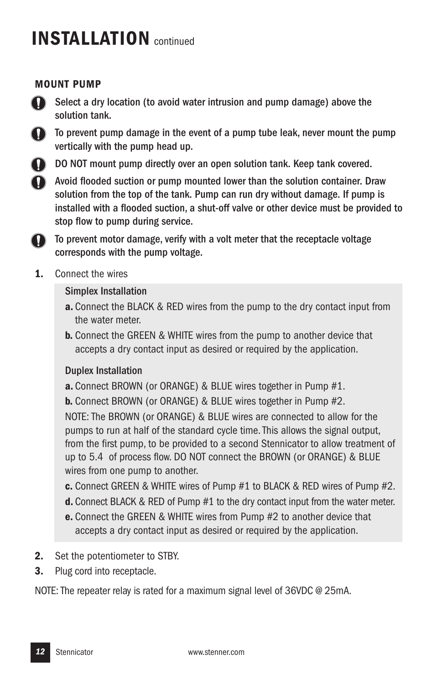#### **MOUNT PUMP**



Select a dry location (to avoid water intrusion and pump damage) above the solution tank.

To prevent pump damage in the event of a pump tube leak, never mount the pump vertically with the pump head up.



DO NOT mount pump directly over an open solution tank. Keep tank covered.

Avoid flooded suction or pump mounted lower than the solution container. Draw solution from the top of the tank. Pump can run dry without damage. If pump is installed with a flooded suction, a shut-off valve or other device must be provided to stop flow to pump during service.

To prevent motor damage, verify with a volt meter that the receptacle voltage  $\bf{D}$ corresponds with the pump voltage.

**1.** Connect the wires

#### Simplex Installation

- **a.** Connect the BLACK & RED wires from the pump to the dry contact input from the water meter.
- **b.** Connect the GREEN & WHITE wires from the pump to another device that accepts a dry contact input as desired or required by the application.

#### Duplex Installation

**a.** Connect BROWN (or ORANGE) & BLUE wires together in Pump #1.

**b.** Connect BROWN (or ORANGE) & BLUE wires together in Pump #2.

NOTE: The BROWN (or ORANGE) & BLUE wires are connected to allow for the pumps to run at half of the standard cycle time.This allows the signal output, from the first pump, to be provided to a second Stennicator to allow treatment of up to 5.4 of process flow. DO NOT connect the BROWN (or ORANGE) & BLUE wires from one pump to another.

- **c.** Connect GREEN & WHITE wires of Pump #1 to BLACK & RED wires of Pump #2.
- **d.** Connect BLACK & RED of Pump #1 to the dry contact input from the water meter.
- **e.** Connect the GREEN & WHITE wires from Pump #2 to another device that accepts a dry contact input as desired or required by the application.
- **2.** Set the potentiometer to STBY.
- **3.** Plug cord into receptacle.

NOTE: The repeater relay is rated for a maximum signal level of 36VDC @ 25mA.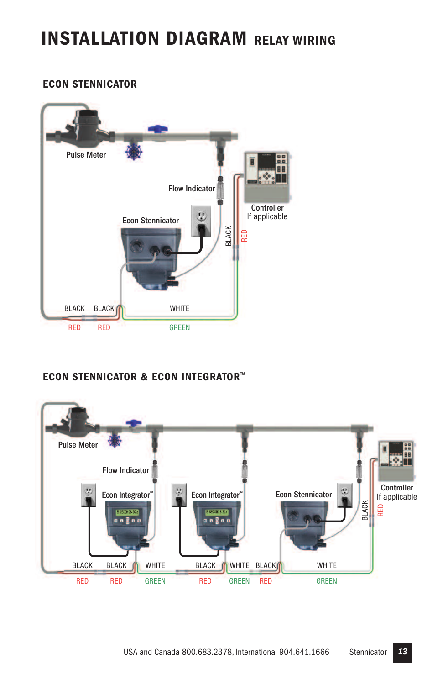### **INSTALLATION DIAGRAM RELAY WIRING**

#### **ECON STENNICATOR**



#### **ECON STENNICATOR & ECON INTEGRATOR™**

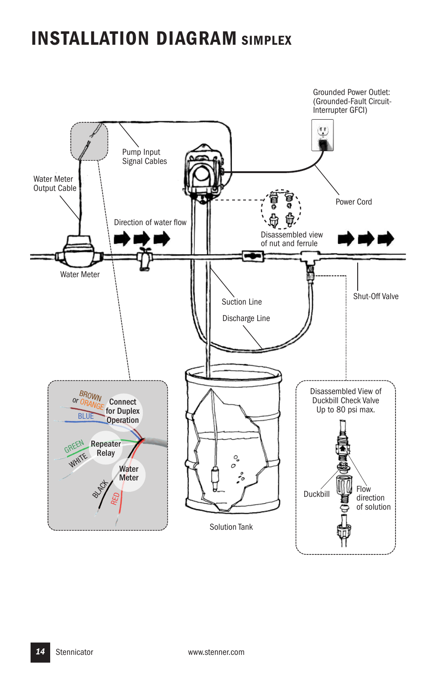### **INSTALLATION DIAGRAM SIMPLEX**

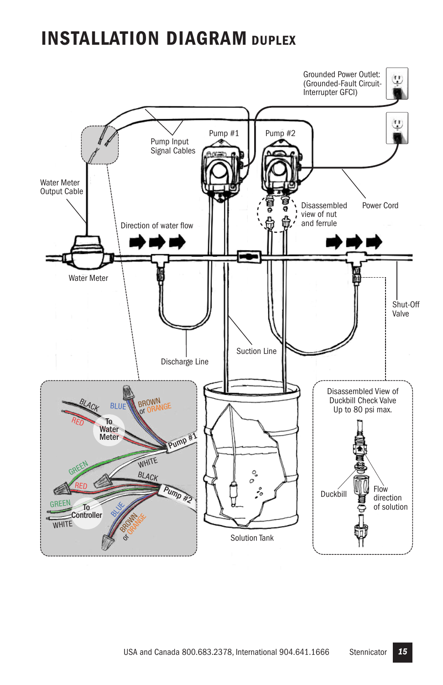### **INSTALLATION DIAGRAM DUPLEX**

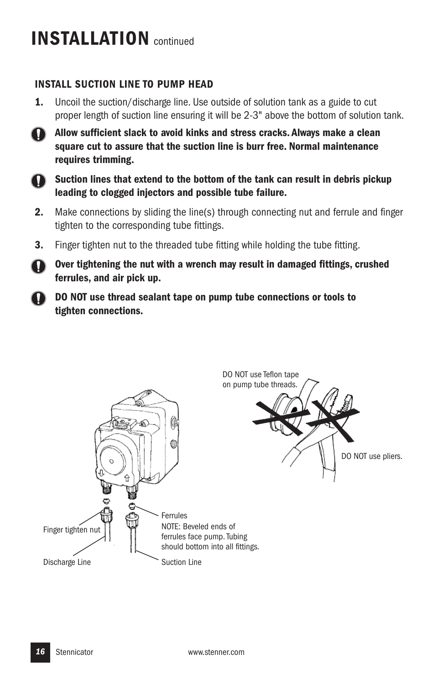#### **INSTALL SUCTION LINE TO PUMP HEAD**

**1.** Uncoil the suction/discharge line. Use outside of solution tank as a guide to cut proper length of suction line ensuring it will be 2-3" above the bottom of solution tank.



**Allow sufficient slack to avoid kinks and stress cracks. Always make a clean square cut to assure that the suction line is burr free. Normal maintenance requires trimming.**



**Suction lines that extend to the bottom of the tank can result in debris pickup leading to clogged injectors and possible tube failure.**

- **2.** Make connections by sliding the line(s) through connecting nut and ferrule and finger tighten to the corresponding tube fittings.
- **3.** Finger tighten nut to the threaded tube fitting while holding the tube fitting.

**Over tightening the nut with a wrench may result in damaged fittings, crushed ferrules, and air pick up.**

**DO NOT use thread sealant tape on pump tube connections or tools to tighten connections.**

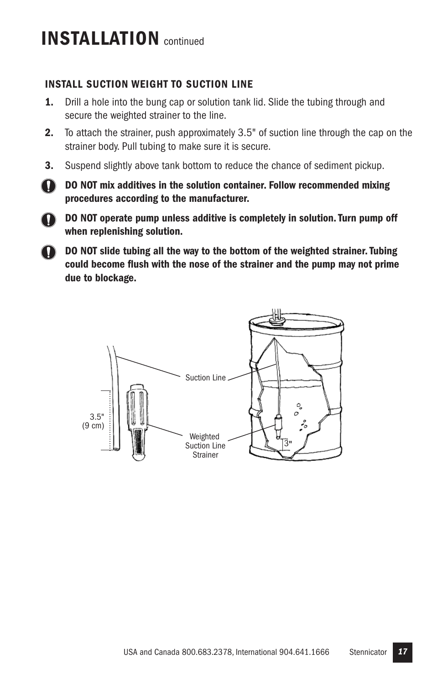$\mathbf{T}$ 

#### **INSTALL SUCTION WEIGHT TO SUCTION LINE**

- **1.** Drill a hole into the bung cap or solution tank lid. Slide the tubing through and secure the weighted strainer to the line.
- **2.** To attach the strainer, push approximately 3.5" of suction line through the cap on the strainer body. Pull tubing to make sure it is secure.
- **3.** Suspend slightly above tank bottom to reduce the chance of sediment pickup.
- $\mathbf D$ **DO NOT mix additives in the solution container. Follow recommended mixing procedures according to the manufacturer.**
	- **DO NOT operate pump unless additive is completely in solution.Turn pump off when replenishing solution.**
- **DO NOT slide tubing all the way to the bottom of the weighted strainer.Tubing could become flush with the nose of the strainer and the pump may not prime due to blockage.**

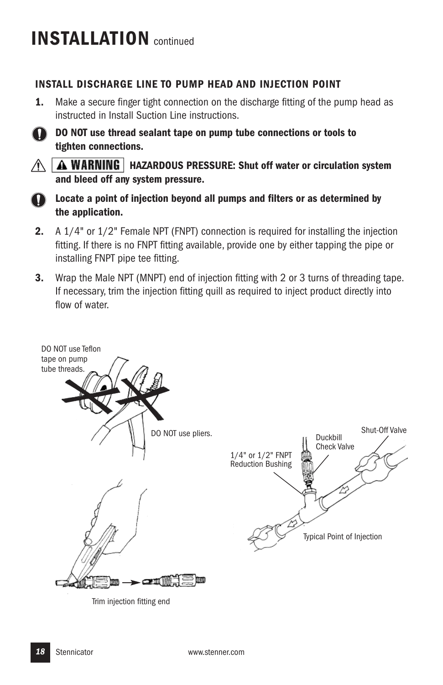#### **INSTALL DISCHARGE LINE TO PUMP HEAD AND INJECTION POINT**

**1.** Make a secure finger tight connection on the discharge fitting of the pump head as instructed in Install Suction Line instructions.



**DO NOT use thread sealant tape on pump tube connections or tools to tighten connections.**



 $\hat{A}$  | A WARNING | HAZARDOUS PRESSURE: Shut off water or circulation system **and bleed off any system pressure.**



**Locate a point of injection beyond all pumps and filters or as determined by the application.**

- **2.** A 1/4" or 1/2" Female NPT (FNPT) connection is required for installing the injection fitting. If there is no FNPT fitting available, provide one by either tapping the pipe or installing FNPT pipe tee fitting.
- **3.** Wrap the Male NPT (MNPT) end of injection fitting with 2 or 3 turns of threading tape. If necessary, trim the injection fitting quill as required to inject product directly into flow of water



Trim injection fitting end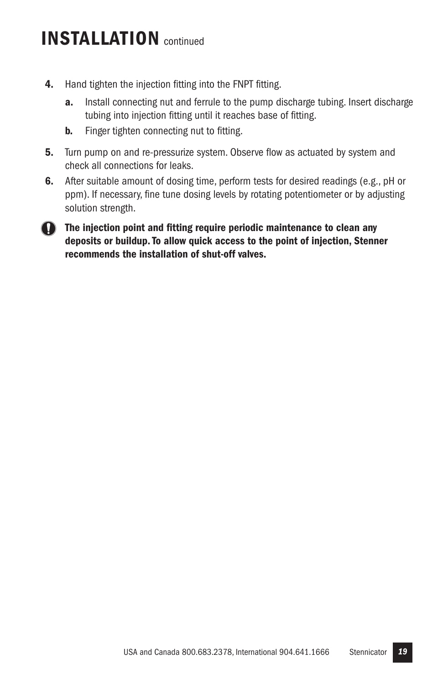- **4.** Hand tighten the injection fitting into the FNPT fitting.
	- **a.** Install connecting nut and ferrule to the pump discharge tubing. Insert discharge tubing into injection fitting until it reaches base of fitting.
	- **b.** Finger tighten connecting nut to fitting.
- **5.** Turn pump on and re-pressurize system. Observe flow as actuated by system and check all connections for leaks.
- **6.** After suitable amount of dosing time, perform tests for desired readings (e.g., pH or ppm). If necessary, fine tune dosing levels by rotating potentiometer or by adjusting solution strength.
- **The injection point and fitting require periodic maintenance to clean any deposits or buildup.To allow quick access to the point of injection, Stenner recommends the installation of shut-off valves.**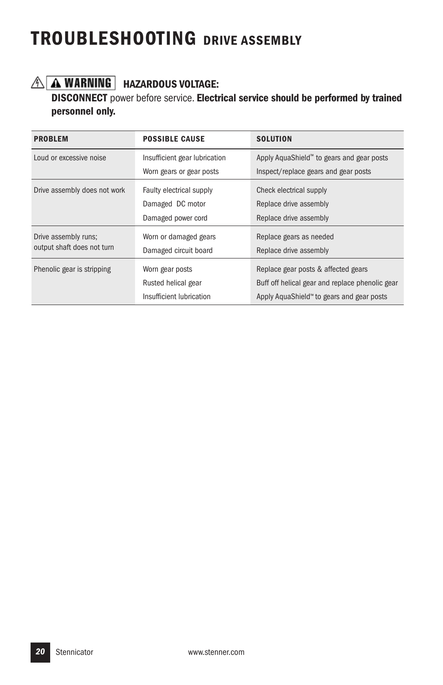### **TROUBLESHOOTING DRIVE ASSEMBLY**

### **HAZARDOUS VOLTAGE:**

**DISCONNECT** power before service. **Electrical service should be performed by trained personnel only.**

| <b>PROBLEM</b>               | <b>POSSIBLE CAUSE</b>         | <b>SOLUTION</b>                                 |
|------------------------------|-------------------------------|-------------------------------------------------|
| Loud or excessive noise      | Insufficient gear lubrication | Apply AquaShield™ to gears and gear posts       |
|                              | Worn gears or gear posts      | Inspect/replace gears and gear posts            |
| Drive assembly does not work | Faulty electrical supply      | Check electrical supply                         |
|                              | Damaged DC motor              | Replace drive assembly                          |
|                              | Damaged power cord            | Replace drive assembly                          |
| Drive assembly runs;         | Worn or damaged gears         | Replace gears as needed                         |
| output shaft does not turn   | Damaged circuit board         | Replace drive assembly                          |
| Phenolic gear is stripping   | Worn gear posts               | Replace gear posts & affected gears             |
|                              | Rusted helical gear           | Buff off helical gear and replace phenolic gear |
|                              | Insufficient Iubrication      | Apply AquaShield™ to gears and gear posts       |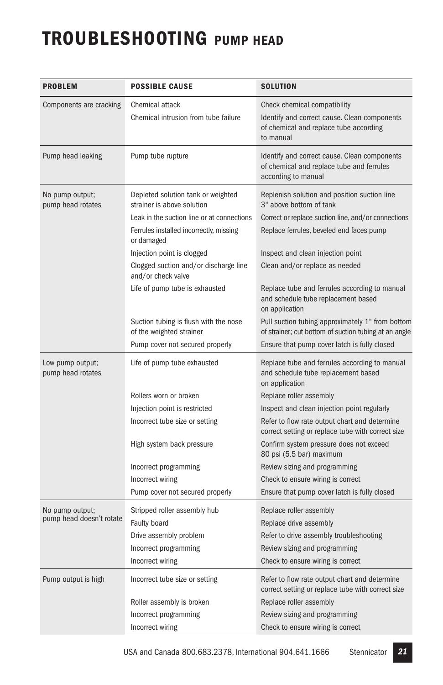### **TROUBLESHOOTING PUMP HEAD**

| <b>PROBLEM</b>                              | <b>POSSIBLE CAUSE</b>                                                                               | <b>SOLUTION</b>                                                                                                                     |
|---------------------------------------------|-----------------------------------------------------------------------------------------------------|-------------------------------------------------------------------------------------------------------------------------------------|
| Components are cracking                     | Chemical attack<br>Chemical intrusion from tube failure                                             | Check chemical compatibility<br>Identify and correct cause. Clean components<br>of chemical and replace tube according<br>to manual |
| Pump head leaking                           | Pump tube rupture                                                                                   | Identify and correct cause. Clean components<br>of chemical and replace tube and ferrules<br>according to manual                    |
| No pump output;<br>pump head rotates        | Depleted solution tank or weighted<br>strainer is above solution                                    | Replenish solution and position suction line<br>3" above bottom of tank                                                             |
|                                             | Leak in the suction line or at connections<br>Ferrules installed incorrectly, missing<br>or damaged | Correct or replace suction line, and/or connections<br>Replace ferrules, beveled end faces pump                                     |
|                                             | Injection point is clogged                                                                          | Inspect and clean injection point                                                                                                   |
|                                             | Clogged suction and/or discharge line<br>and/or check valve                                         | Clean and/or replace as needed                                                                                                      |
|                                             | Life of pump tube is exhausted                                                                      | Replace tube and ferrules according to manual<br>and schedule tube replacement based<br>on application                              |
|                                             | Suction tubing is flush with the nose<br>of the weighted strainer                                   | Pull suction tubing approximately 1" from bottom<br>of strainer; cut bottom of suction tubing at an angle                           |
|                                             | Pump cover not secured properly                                                                     | Ensure that pump cover latch is fully closed                                                                                        |
| Low pump output;<br>pump head rotates       | Life of pump tube exhausted                                                                         | Replace tube and ferrules according to manual<br>and schedule tube replacement based<br>on application                              |
|                                             | Rollers worn or broken                                                                              | Replace roller assembly                                                                                                             |
|                                             | Injection point is restricted                                                                       | Inspect and clean injection point regularly                                                                                         |
|                                             | Incorrect tube size or setting                                                                      | Refer to flow rate output chart and determine<br>correct setting or replace tube with correct size                                  |
|                                             | High system back pressure                                                                           | Confirm system pressure does not exceed<br>80 psi (5.5 bar) maximum                                                                 |
|                                             | Incorrect programming                                                                               | Review sizing and programming                                                                                                       |
|                                             | Incorrect wiring                                                                                    | Check to ensure wiring is correct                                                                                                   |
|                                             | Pump cover not secured properly                                                                     | Ensure that pump cover latch is fully closed                                                                                        |
| No pump output;<br>pump head doesn't rotate | Stripped roller assembly hub<br>Faulty board                                                        | Replace roller assembly<br>Replace drive assembly                                                                                   |
|                                             | Drive assembly problem                                                                              | Refer to drive assembly troubleshooting                                                                                             |
|                                             | Incorrect programming                                                                               | Review sizing and programming                                                                                                       |
|                                             | Incorrect wiring                                                                                    | Check to ensure wiring is correct                                                                                                   |
| Pump output is high                         | Incorrect tube size or setting                                                                      | Refer to flow rate output chart and determine<br>correct setting or replace tube with correct size                                  |
|                                             | Roller assembly is broken                                                                           | Replace roller assembly                                                                                                             |
|                                             | Incorrect programming                                                                               | Review sizing and programming                                                                                                       |
|                                             | Incorrect wiring                                                                                    | Check to ensure wiring is correct                                                                                                   |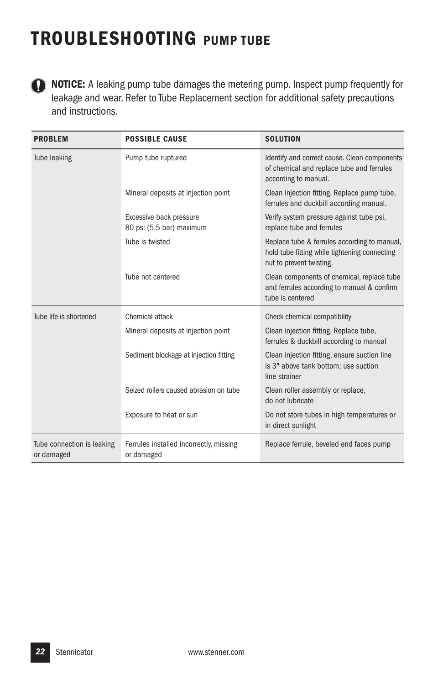### **TROUBLESHOOTING PUMP TUBE**



**NOTICE:** A leaking pump tube damages the metering pump. Inspect pump frequently for leakage and wear. Refer to Tube Replacement section for additional safety precautions and instructions.

| <b>PROBLEM</b>                           | <b>POSSIBLE CAUSE</b>                                 | <b>SOLUTION</b>                                                                                                           |
|------------------------------------------|-------------------------------------------------------|---------------------------------------------------------------------------------------------------------------------------|
| Tube leaking                             | Pump tube ruptured                                    | Identify and correct cause. Clean components<br>of chemical and replace tube and ferrules<br>according to manual.         |
|                                          | Mineral deposits at injection point                   | Clean injection fitting. Replace pump tube,<br>ferrules and duckbill according manual.                                    |
|                                          | Excessive back pressure<br>80 psi (5.5 bar) maximum   | Verify system pressure against tube psi,<br>replace tube and ferrules                                                     |
|                                          | Tube is twisted                                       | Replace tube & ferrules according to manual,<br>hold tube fitting while tightening connecting<br>nut to prevent twisting. |
|                                          | Tube not centered                                     | Clean components of chemical, replace tube<br>and ferrules according to manual & confirm<br>tube is centered              |
| Tube life is shortened                   | Chemical attack                                       | Check chemical compatibility                                                                                              |
|                                          | Mineral deposits at injection point                   | Clean injection fitting. Replace tube,<br>ferrules & duckbill according to manual                                         |
|                                          | Sediment blockage at injection fitting                | Clean injection fitting, ensure suction line<br>is 3" above tank bottom; use suction<br>line strainer                     |
|                                          | Seized rollers caused abrasion on tube                | Clean roller assembly or replace,<br>do not lubricate                                                                     |
|                                          | Exposure to heat or sun                               | Do not store tubes in high temperatures or<br>in direct sunlight                                                          |
| Tube connection is leaking<br>or damaged | Ferrules installed incorrectly, missing<br>or damaged | Replace ferrule, beveled end faces pump                                                                                   |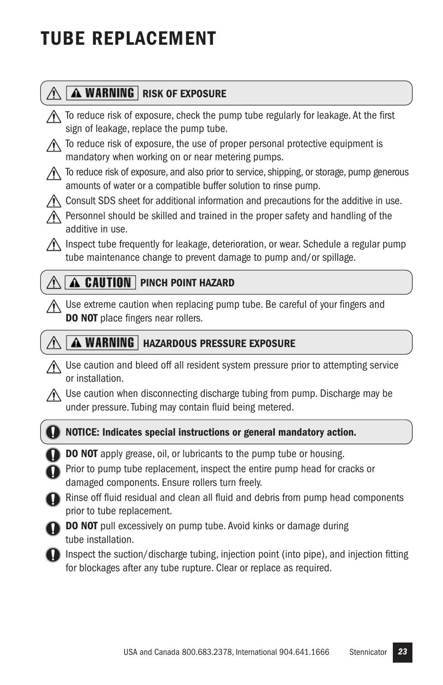## **TUBE REPLACEMENT**

#### **A WARNING** RISK OF EXPOSURE  $\sqrt{N}$

- $\bigwedge$  To reduce risk of exposure, check the pump tube regularly for leakage. At the first sign of leakage, replace the pump tube.
- $\bigwedge$  To reduce risk of exposure, the use of proper personal protective equipment is mandatory when working on or near metering pumps.
- $\Lambda$  To reduce risk of exposure, and also prior to service, shipping, or storage, pump generous amounts of water or a compatible buffer solution to rinse pump.
- $\bigwedge$  Consult SDS sheet for additional information and precautions for the additive in use.
- $\wedge$  Personnel should be skilled and trained in the proper safety and handling of the additive in use.
- $\triangle$  Inspect tube frequently for leakage, deterioration, or wear. Schedule a regular pump tube maintenance change to prevent damage to pump and/or spillage.

### **A CAUTION** PINCH POINT HAZARD

Use extreme caution when replacing pump tube. Be careful of your fingers and **DO NOT** place fingers near rollers.

#### **A WARNING** | HAZARDOUS PRESSURE EXPOSURE

- $\bigwedge$  Use caution and bleed off all resident system pressure prior to attempting service or installation.
- Use caution when disconnecting discharge tubing from pump. Discharge may be under pressure.Tubing may contain fluid being metered.



#### **NOTICE: Indicates special instructions or general mandatory action.**

- **DO NOT** apply grease, oil, or lubricants to the pump tube or housing.
- Prior to pump tube replacement, inspect the entire pump head for cracks or damaged components. Ensure rollers turn freely.
- Rinse off fluid residual and clean all fluid and debris from pump head components prior to tube replacement.



- **DO NOT** pull excessively on pump tube. Avoid kinks or damage during tube installation.
- Inspect the suction/discharge tubing, injection point (into pipe), and injection fitting for blockages after any tube rupture. Clear or replace as required.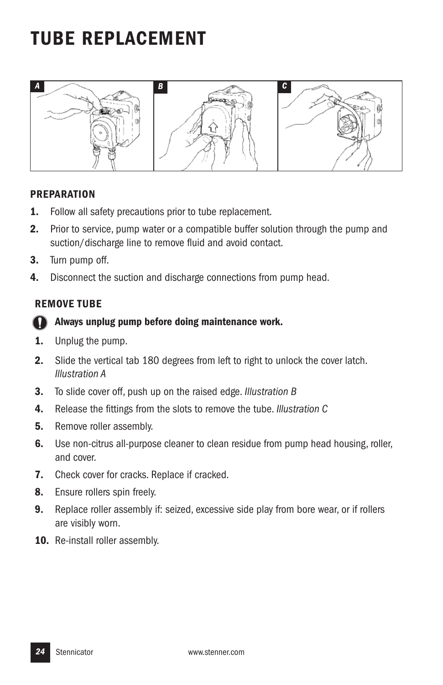### **TUBE REPLACEMENT**



#### **PREPARATION**

- **1.** Follow all safety precautions prior to tube replacement.
- **2.** Prior to service, pump water or a compatible buffer solution through the pump and suction/discharge line to remove fluid and avoid contact.
- **3.** Turn pump off.
- **4.** Disconnect the suction and discharge connections from pump head.

#### **REMOVE TUBE**

#### T **Always unplug pump before doing maintenance work.**

- **1.** Unplug the pump.
- **2.** Slide the vertical tab 180 degrees from left to right to unlock the cover latch. *Illustration A*
- **3.** To slide cover off, push up on the raised edge. *Illustration B*
- **4.** Release the fittings from the slots to remove the tube. *Illustration C*
- **5.** Remove roller assembly.
- **6.** Use non-citrus all-purpose cleaner to clean residue from pump head housing, roller, and cover.
- **7.** Check cover for cracks. Replace if cracked.
- **8.** Ensure rollers spin freely.
- **9.** Replace roller assembly if: seized, excessive side play from bore wear, or if rollers are visibly worn.
- **10.** Re-install roller assembly.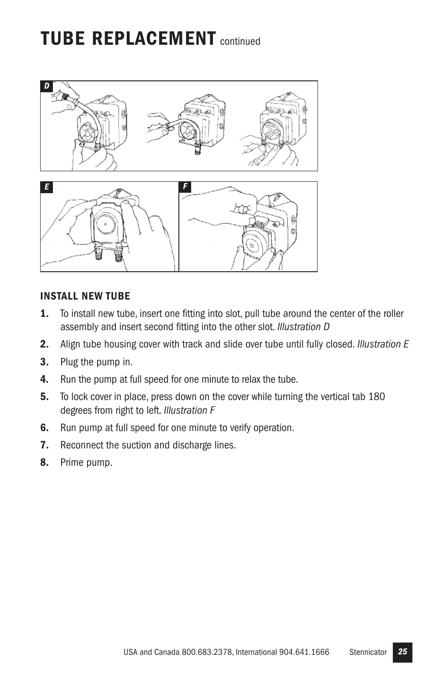### **TUBE REPLACEMENT** continued



#### **INSTALL NEW TUBE**

- **1.** To install new tube, insert one fitting into slot, pull tube around the center of the roller assembly and insert second fitting into the other slot. *Illustration D*
- **2.** Align tube housing cover with track and slide over tube until fully closed. *Illustration E*
- **3.** Plug the pump in.
- **4.** Run the pump at full speed for one minute to relax the tube.
- **5.** To lock cover in place, press down on the cover while turning the vertical tab 180 degrees from right to left. *Illustration F*
- **6.** Run pump at full speed for one minute to verify operation.
- **7.** Reconnect the suction and discharge lines.
- **8.** Prime pump.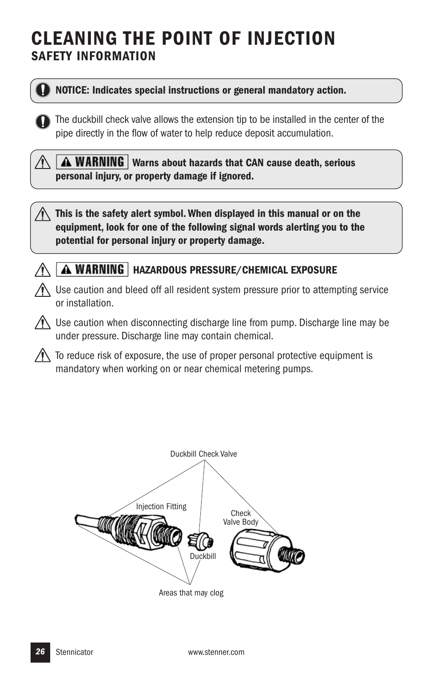### **CLEANING THE POINT OF INJECTION SAFETY INFORMATION**



#### **NOTICE: Indicates special instructions or general mandatory action.**

The duckbill check valve allows the extension tip to be installed in the center of the pipe directly in the flow of water to help reduce deposit accumulation.

**A WARNING** Warns about hazards that CAN cause death, serious **personal injury, or property damage if ignored.**

**This is the safety alert symbol. When displayed in this manual or on the equipment, look for one of the following signal words alerting you to the potential for personal injury or property damage.**



#### **HAZARDOUS PRESSURE/CHEMICAL EXPOSURE**

 $\bigwedge$  Use caution and bleed off all resident system pressure prior to attempting service or installation.

 $\bigwedge$  Use caution when disconnecting discharge line from pump. Discharge line may be under pressure. Discharge line may contain chemical.

 $\sqrt{N}$  To reduce risk of exposure, the use of proper personal protective equipment is mandatory when working on or near chemical metering pumps.

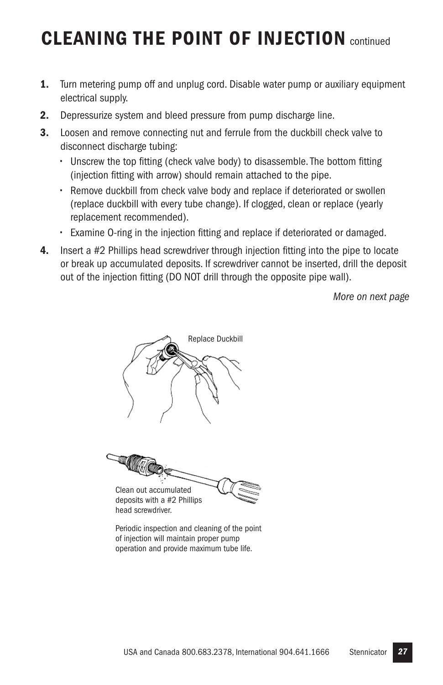### **CLEANING THE POINT OF INJECTION** continued

- **1.** Turn metering pump off and unplug cord. Disable water pump or auxiliary equipment electrical supply.
- **2.** Depressurize system and bleed pressure from pump discharge line.
- **3.** Loosen and remove connecting nut and ferrule from the duckbill check valve to disconnect discharge tubing:
	- **•** Unscrew the top fitting (check valve body) to disassemble.The bottom fitting (injection fitting with arrow) should remain attached to the pipe.
	- **•** Remove duckbill from check valve body and replace if deteriorated or swollen (replace duckbill with every tube change). If clogged, clean or replace (yearly replacement recommended).
	- **•** Examine O-ring in the injection fitting and replace if deteriorated or damaged.
- **4.** Insert a #2 Phillips head screwdriver through injection fitting into the pipe to locate or break up accumulated deposits. If screwdriver cannot be inserted, drill the deposit out of the injection fitting (DO NOT drill through the opposite pipe wall).

*More on next page*





deposits with a #2 Phillips head screwdriver.

Periodic inspection and cleaning of the point of injection will maintain proper pump operation and provide maximum tube life.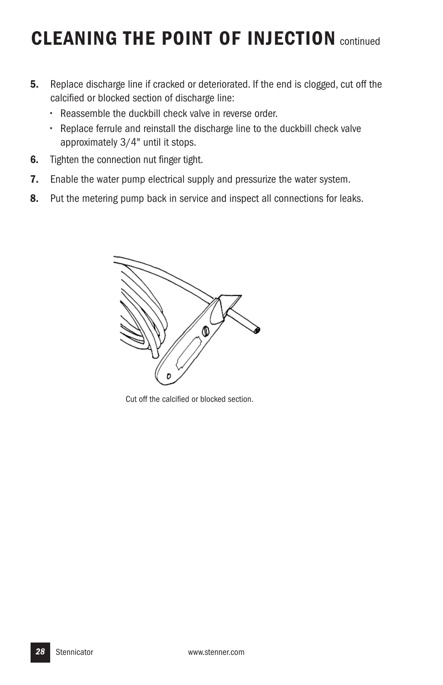### **CLEANING THE POINT OF INJECTION** continued

- **5.** Replace discharge line if cracked or deteriorated. If the end is clogged, cut off the calcified or blocked section of discharge line:
	- **•** Reassemble the duckbill check valve in reverse order.
	- **•** Replace ferrule and reinstall the discharge line to the duckbill check valve approximately 3/4" until it stops.
- **6.** Tighten the connection nut finger tight.
- **7.** Enable the water pump electrical supply and pressurize the water system.
- **8.** Put the metering pump back in service and inspect all connections for leaks.



Cut off the calcified or blocked section.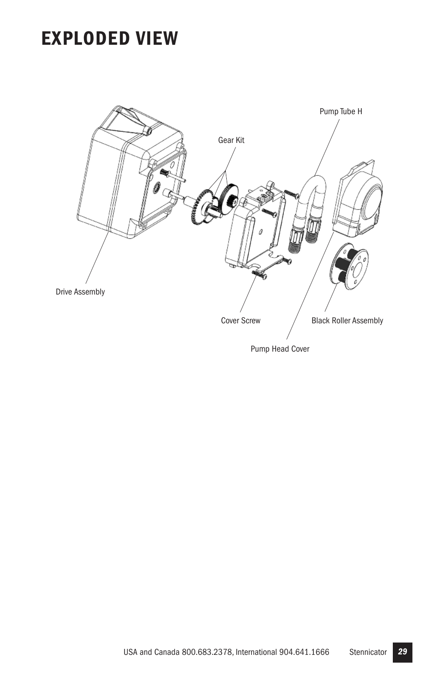### **EXPLODED VIEW**



USA and Canada 800.683.2378, International 904.641.1666 Stennicator *29*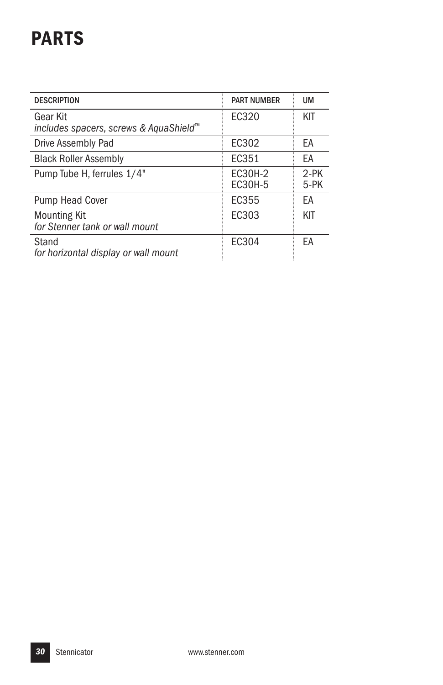## **PARTS**

| <b>DESCRIPTION</b>                                             | <b>PART NUMBER</b> | <b>UM</b>      |
|----------------------------------------------------------------|--------------------|----------------|
| Gear Kit<br>includes spacers, screws & AquaShield <sup>™</sup> | FC320              | KIT            |
| Drive Assembly Pad                                             | EC302              | EA             |
| <b>Black Roller Assembly</b>                                   | FC351              | EA             |
| Pump Tube H, ferrules 1/4"                                     | EC30H-2<br>EC30H-5 | $2-PK$<br>5-PK |
| <b>Pump Head Cover</b>                                         | EC355              | EA             |
| <b>Mounting Kit</b><br>for Stenner tank or wall mount          | FC303              | KIT            |
| Stand<br>for horizontal display or wall mount                  | FC304              | FA             |
|                                                                |                    |                |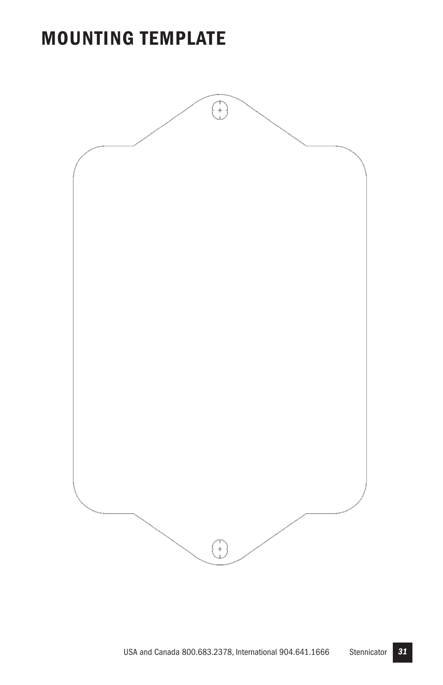### **MOUNTING TEMPLATE**